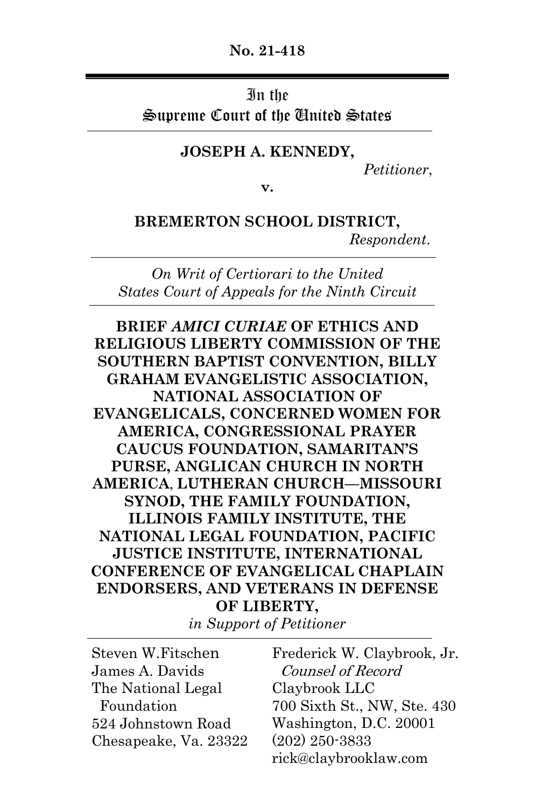### **No. 21-418**

#### In the

Supreme Court of the United States

### **JOSEPH A. KENNEDY,**

*Petitioner*,

**v.**

**BREMERTON SCHOOL DISTRICT,**  *Respondent*.

*On Writ of Certiorari to the United States Court of Appeals for the Ninth Circuit*

**BRIEF** *AMICI CURIAE* **OF ETHICS AND RELIGIOUS LIBERTY COMMISSION OF THE SOUTHERN BAPTIST CONVENTION, BILLY GRAHAM EVANGELISTIC ASSOCIATION, NATIONAL ASSOCIATION OF EVANGELICALS, CONCERNED WOMEN FOR AMERICA, CONGRESSIONAL PRAYER CAUCUS FOUNDATION, SAMARITAN'S PURSE, ANGLICAN CHURCH IN NORTH AMERICA**, **LUTHERAN CHURCH—MISSOURI SYNOD, THE FAMILY FOUNDATION, ILLINOIS FAMILY INSTITUTE, THE NATIONAL LEGAL FOUNDATION, PACIFIC JUSTICE INSTITUTE, INTERNATIONAL CONFERENCE OF EVANGELICAL CHAPLAIN ENDORSERS, AND VETERANS IN DEFENSE OF LIBERTY,**

*in Support of Petitioner*

-Steven W.Fitschen James A. Davids The National Legal Foundation 524 Johnstown Road Chesapeake, Va. 23322

Frederick W. Claybrook, Jr. Counsel of Record Claybrook LLC 700 Sixth St., NW, Ste. 430 Washington, D.C. 20001 (202) 250-3833 rick@claybrooklaw.com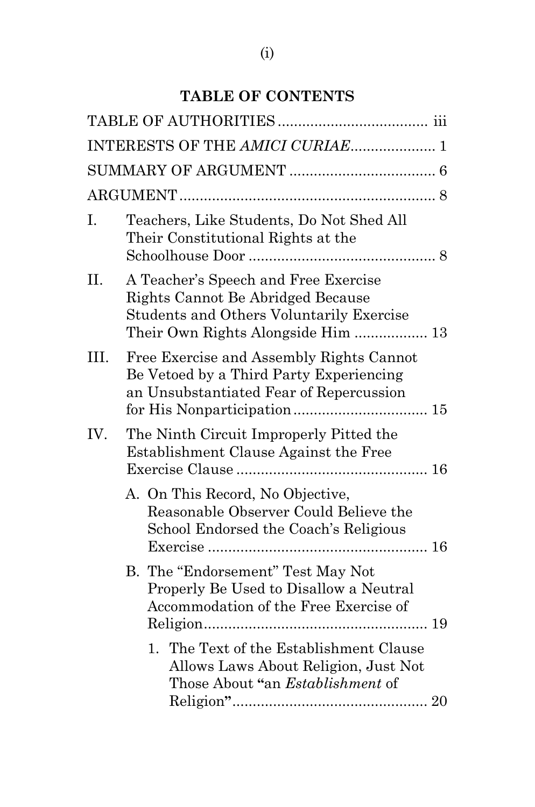## **TABLE OF CONTENTS**

|      | INTERESTS OF THE AMICI CURIAE 1                                                                                                                                    |  |
|------|--------------------------------------------------------------------------------------------------------------------------------------------------------------------|--|
|      |                                                                                                                                                                    |  |
|      |                                                                                                                                                                    |  |
| I.   | Teachers, Like Students, Do Not Shed All<br>Their Constitutional Rights at the                                                                                     |  |
| II.  | A Teacher's Speech and Free Exercise<br>Rights Cannot Be Abridged Because<br><b>Students and Others Voluntarily Exercise</b><br>Their Own Rights Alongside Him  13 |  |
| III. | Free Exercise and Assembly Rights Cannot<br>Be Vetoed by a Third Party Experiencing<br>an Unsubstantiated Fear of Repercussion                                     |  |
| IV.  | The Ninth Circuit Improperly Pitted the<br>Establishment Clause Against the Free                                                                                   |  |
|      | A. On This Record, No Objective,<br>Reasonable Observer Could Believe the<br>School Endorsed the Coach's Religious                                                 |  |
|      | B. The "Endorsement" Test May Not<br>Properly Be Used to Disallow a Neutral<br>Accommodation of the Free Exercise of                                               |  |
|      | 1. The Text of the Establishment Clause<br>Allows Laws About Religion, Just Not<br>Those About "an <i>Establishment</i> of                                         |  |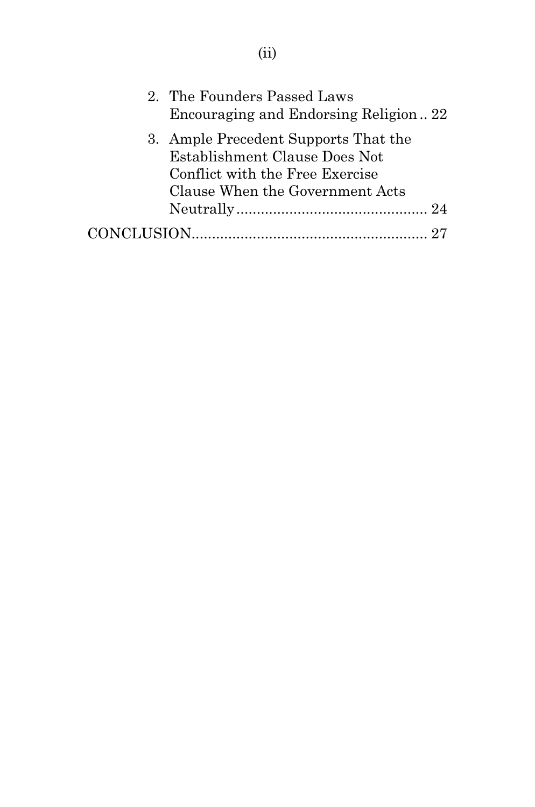| 2. The Founders Passed Laws<br>Encouraging and Endorsing Religion22                                                                         |  |
|---------------------------------------------------------------------------------------------------------------------------------------------|--|
| 3. Ample Precedent Supports That the<br>Establishment Clause Does Not<br>Conflict with the Free Exercise<br>Clause When the Government Acts |  |
|                                                                                                                                             |  |
|                                                                                                                                             |  |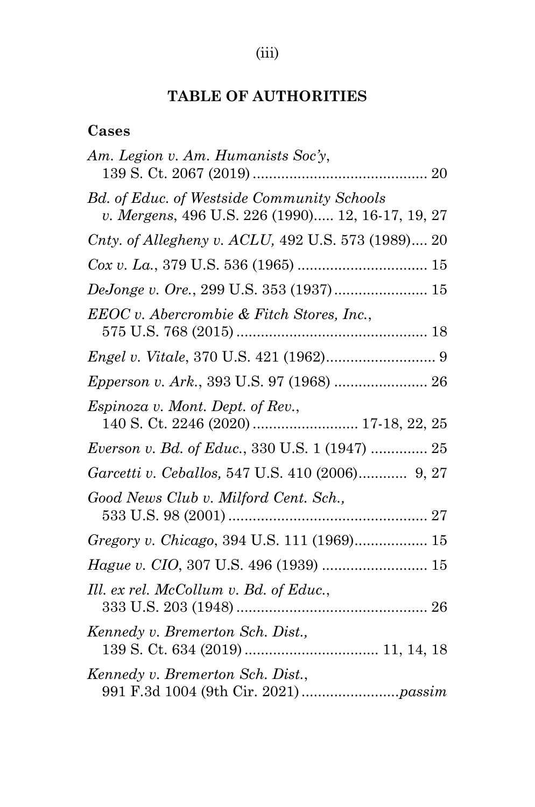# (iii)

## **TABLE OF AUTHORITIES**

## **Cases**

| Am. Legion v. Am. Humanists Soc'y,                                                                     |
|--------------------------------------------------------------------------------------------------------|
| <b>Bd.</b> of Educ. of Westside Community Schools<br>v. Mergens, 496 U.S. 226 (1990) 12, 16-17, 19, 27 |
| Cnty. of Allegheny v. ACLU, 492 U.S. 573 (1989) 20                                                     |
|                                                                                                        |
| DeJonge v. Ore., 299 U.S. 353 (1937) 15                                                                |
| EEOC v. Abercrombie & Fitch Stores, Inc.,                                                              |
|                                                                                                        |
| Epperson v. Ark., 393 U.S. 97 (1968)  26                                                               |
| <i>Espinoza v. Mont. Dept. of Rev.,</i>                                                                |
| <i>Everson v. Bd. of Educ.</i> , 330 U.S. 1 (1947)  25                                                 |
| Garcetti v. Ceballos, 547 U.S. 410 (2006) 9, 27                                                        |
| Good News Club v. Milford Cent. Sch.,                                                                  |
| Gregory v. Chicago, 394 U.S. 111 (1969) 15                                                             |
| Hague v. CIO, 307 U.S. 496 (1939)  15                                                                  |
| Ill. ex rel. McCollum v. Bd. of Educ.,                                                                 |
| Kennedy v. Bremerton Sch. Dist.,                                                                       |
| Kennedy v. Bremerton Sch. Dist.,                                                                       |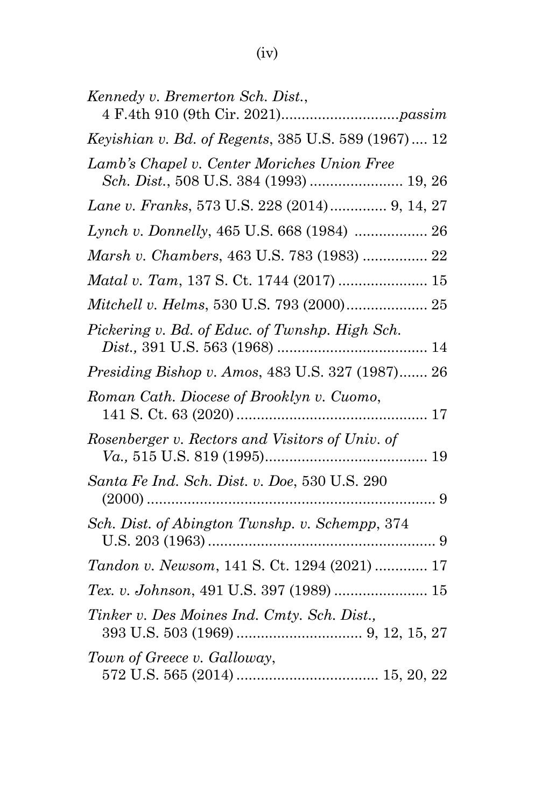| Kennedy v. Bremerton Sch. Dist.,                    |
|-----------------------------------------------------|
| Keyishian v. Bd. of Regents, 385 U.S. 589 (1967) 12 |
| Lamb's Chapel v. Center Moriches Union Free         |
| Lane v. Franks, 573 U.S. 228 (2014) 9, 14, 27       |
| Lynch v. Donnelly, 465 U.S. 668 (1984)  26          |
| Marsh v. Chambers, 463 U.S. 783 (1983)  22          |
| Matal v. Tam, 137 S. Ct. 1744 (2017)  15            |
| Mitchell v. Helms, 530 U.S. 793 (2000) 25           |
| Pickering v. Bd. of Educ. of Twnshp. High Sch.      |
| Presiding Bishop v. Amos, 483 U.S. 327 (1987) 26    |
| Roman Cath. Diocese of Brooklyn v. Cuomo,           |
| Rosenberger v. Rectors and Visitors of Univ. of     |
| Santa Fe Ind. Sch. Dist. v. Doe, 530 U.S. 290       |
| Sch. Dist. of Abington Twnshp. v. Schempp, 374      |
| Tandon v. Newsom, 141 S. Ct. 1294 (2021)  17        |
| Tex. v. Johnson, 491 U.S. 397 (1989)  15            |
| Tinker v. Des Moines Ind. Cmty. Sch. Dist.,         |
| Town of Greece v. Galloway,                         |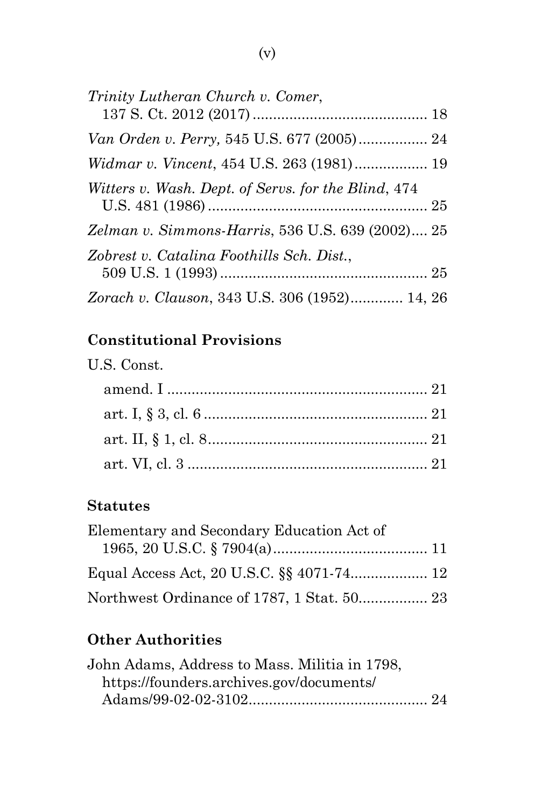| Trinity Lutheran Church v. Comer,                   |  |
|-----------------------------------------------------|--|
| Van Orden v. Perry, 545 U.S. 677 (2005) 24          |  |
|                                                     |  |
| Witters v. Wash. Dept. of Servs. for the Blind, 474 |  |
| Zelman v. Simmons-Harris, 536 U.S. 639 (2002) 25    |  |
| Zobrest v. Catalina Foothills Sch. Dist.,           |  |
| Zorach v. Clauson, 343 U.S. 306 (1952) 14, 26       |  |

## **Constitutional Provisions**

| U.S. Const. |  |
|-------------|--|
|             |  |
|             |  |
|             |  |
|             |  |

## **Statutes**

| Elementary and Secondary Education Act of  |  |
|--------------------------------------------|--|
|                                            |  |
|                                            |  |
| Northwest Ordinance of 1787, 1 Stat. 50 23 |  |

# **Other Authorities**

| John Adams, Address to Mass. Militia in 1798, |  |
|-----------------------------------------------|--|
| https://founders.archives.gov/documents/      |  |
|                                               |  |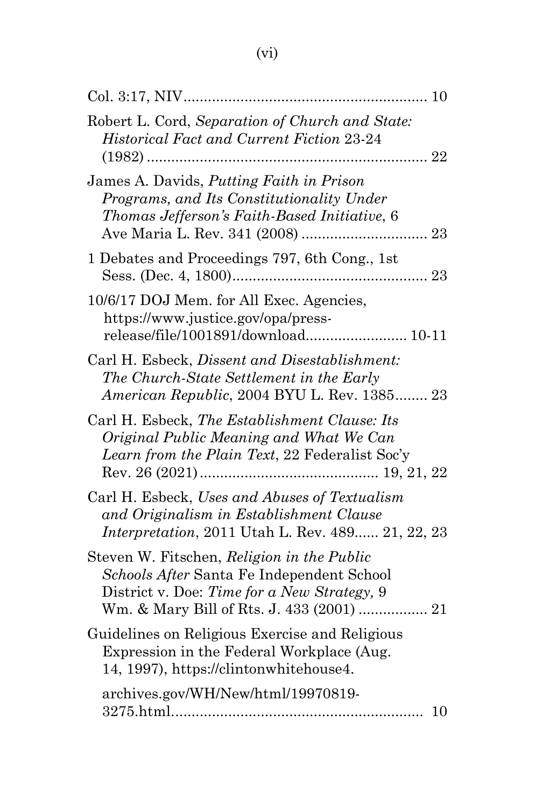| Robert L. Cord, Separation of Church and State:<br><b>Historical Fact and Current Fiction 23-24</b>                                                  |
|------------------------------------------------------------------------------------------------------------------------------------------------------|
| James A. Davids, <i>Putting Faith in Prison</i><br>Programs, and Its Constitutionality Under<br>Thomas Jefferson's Faith-Based Initiative, 6         |
| 1 Debates and Proceedings 797, 6th Cong., 1st                                                                                                        |
| 10/6/17 DOJ Mem. for All Exec. Agencies,<br>https://www.justice.gov/opa/press-<br>release/file/1001891/download 10-11                                |
| Carl H. Esbeck, Dissent and Disestablishment:<br>The Church-State Settlement in the Early<br>American Republic, 2004 BYU L. Rev. 1385 23             |
| Carl H. Esbeck, The Establishment Clause: Its<br>Original Public Meaning and What We Can<br>Learn from the Plain Text, 22 Federalist Soc'y           |
| Carl H. Esbeck, Uses and Abuses of Textualism<br>and Originalism in Establishment Clause<br><i>Interpretation</i> , 2011 Utah L. Rev. 489 21, 22, 23 |
| Steven W. Fitschen, Religion in the Public<br>Schools After Santa Fe Independent School<br>District v. Doe: Time for a New Strategy, 9               |
| Guidelines on Religious Exercise and Religious<br>Expression in the Federal Workplace (Aug.<br>14, 1997), https://clintonwhitehouse4.                |
| archives.gov/WH/New/html/19970819-<br>10                                                                                                             |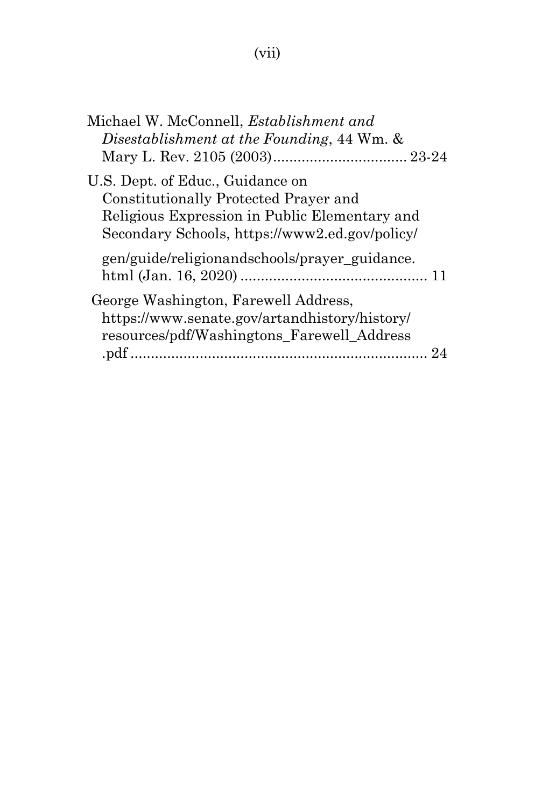# (vii)

| Michael W. McConnell, Establishment and<br>Disestablishment at the Founding, 44 Wm. &                                                                                        |  |
|------------------------------------------------------------------------------------------------------------------------------------------------------------------------------|--|
| U.S. Dept. of Educ., Guidance on<br>Constitutionally Protected Prayer and<br>Religious Expression in Public Elementary and<br>Secondary Schools, https://www2.ed.gov/policy/ |  |
| gen/guide/religionandschools/prayer_guidance.                                                                                                                                |  |
| George Washington, Farewell Address,<br>https://www.senate.gov/artandhistory/history/<br>resources/pdf/Washingtons_Farewell_Address                                          |  |
|                                                                                                                                                                              |  |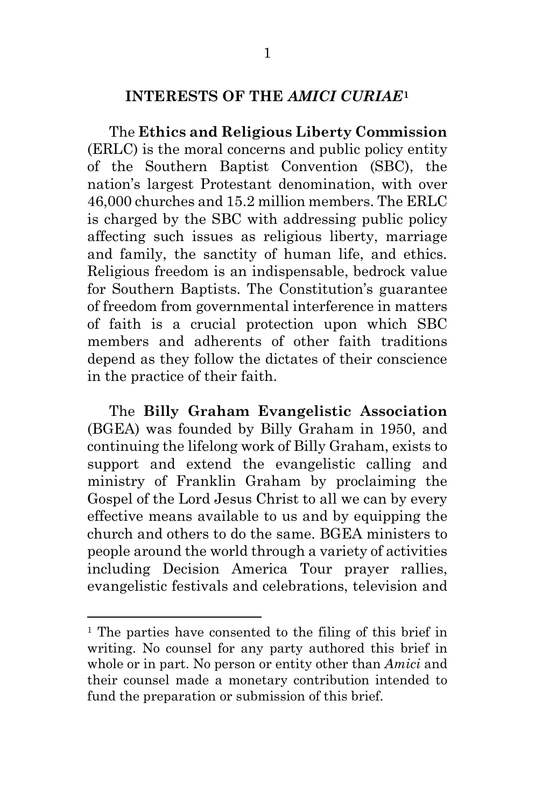## <span id="page-8-0"></span>**INTERESTS OF THE** *AMICI CURIAE***[1](#page-8-0)**

The **Ethics and Religious Liberty Commission** (ERLC) is the moral concerns and public policy entity of the Southern Baptist Convention (SBC), the nation's largest Protestant denomination, with over 46,000 churches and 15.2 million members. The ERLC is charged by the SBC with addressing public policy affecting such issues as religious liberty, marriage and family, the sanctity of human life, and ethics. Religious freedom is an indispensable, bedrock value for Southern Baptists. The Constitution's guarantee of freedom from governmental interference in matters of faith is a crucial protection upon which SBC members and adherents of other faith traditions depend as they follow the dictates of their conscience in the practice of their faith.

The **Billy Graham Evangelistic Association** (BGEA) was founded by Billy Graham in 1950, and continuing the lifelong work of Billy Graham, exists to support and extend the evangelistic calling and ministry of Franklin Graham by proclaiming the Gospel of the Lord Jesus Christ to all we can by every effective means available to us and by equipping the church and others to do the same. BGEA ministers to people around the world through a variety of activities including Decision America Tour prayer rallies, evangelistic festivals and celebrations, television and

<sup>&</sup>lt;sup>1</sup> The parties have consented to the filing of this brief in writing. No counsel for any party authored this brief in whole or in part. No person or entity other than *Amici* and their counsel made a monetary contribution intended to fund the preparation or submission of this brief.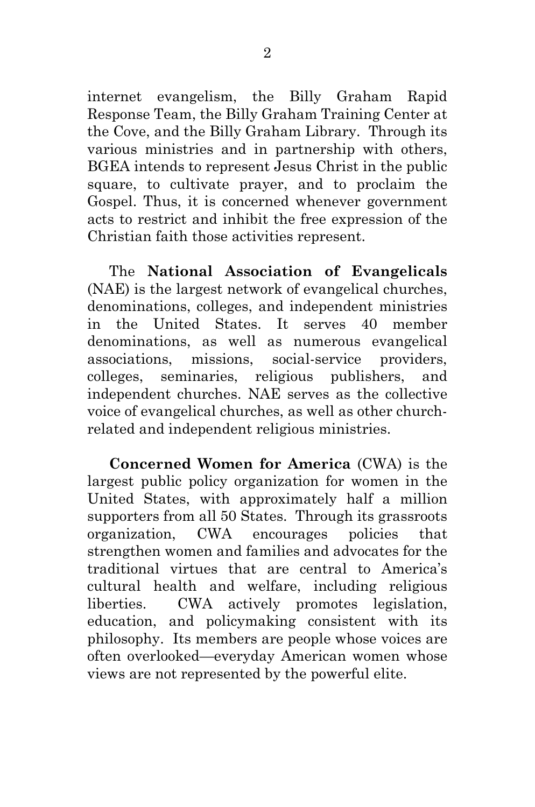internet evangelism, the Billy Graham Rapid Response Team, the Billy Graham Training Center at the Cove, and the Billy Graham Library. Through its various ministries and in partnership with others, BGEA intends to represent Jesus Christ in the public square, to cultivate prayer, and to proclaim the Gospel. Thus, it is concerned whenever government acts to restrict and inhibit the free expression of the Christian faith those activities represent.

The **National Association of Evangelicals** (NAE) is the largest network of evangelical churches, denominations, colleges, and independent ministries in the United States. It serves 40 member denominations, as well as numerous evangelical associations, missions, social-service providers, colleges, seminaries, religious publishers, and independent churches. NAE serves as the collective voice of evangelical churches, as well as other churchrelated and independent religious ministries.

**Concerned Women for America** (CWA) is the largest public policy organization for women in the United States, with approximately half a million supporters from all 50 States. Through its grassroots organization, CWA encourages policies that strengthen women and families and advocates for the traditional virtues that are central to America's cultural health and welfare, including religious liberties. CWA actively promotes legislation, education, and policymaking consistent with its philosophy. Its members are people whose voices are often overlooked—everyday American women whose views are not represented by the powerful elite.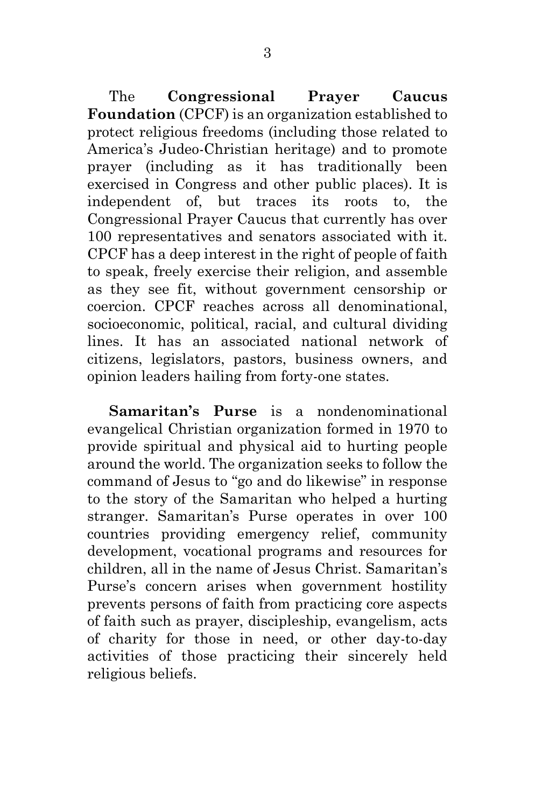The **Congressional Prayer Caucus Foundation** (CPCF) is an organization established to protect religious freedoms (including those related to America's Judeo-Christian heritage) and to promote prayer (including as it has traditionally been exercised in Congress and other public places). It is independent of, but traces its roots to, the Congressional Prayer Caucus that currently has over 100 representatives and senators associated with it. CPCF has a deep interest in the right of people of faith to speak, freely exercise their religion, and assemble as they see fit, without government censorship or coercion. CPCF reaches across all denominational, socioeconomic, political, racial, and cultural dividing lines. It has an associated national network of citizens, legislators, pastors, business owners, and opinion leaders hailing from forty-one states.

**Samaritan's Purse** is a nondenominational evangelical Christian organization formed in 1970 to provide spiritual and physical aid to hurting people around the world. The organization seeks to follow the command of Jesus to "go and do likewise" in response to the story of the Samaritan who helped a hurting stranger. Samaritan's Purse operates in over 100 countries providing emergency relief, community development, vocational programs and resources for children, all in the name of Jesus Christ. Samaritan's Purse's concern arises when government hostility prevents persons of faith from practicing core aspects of faith such as prayer, discipleship, evangelism, acts of charity for those in need, or other day-to-day activities of those practicing their sincerely held religious beliefs.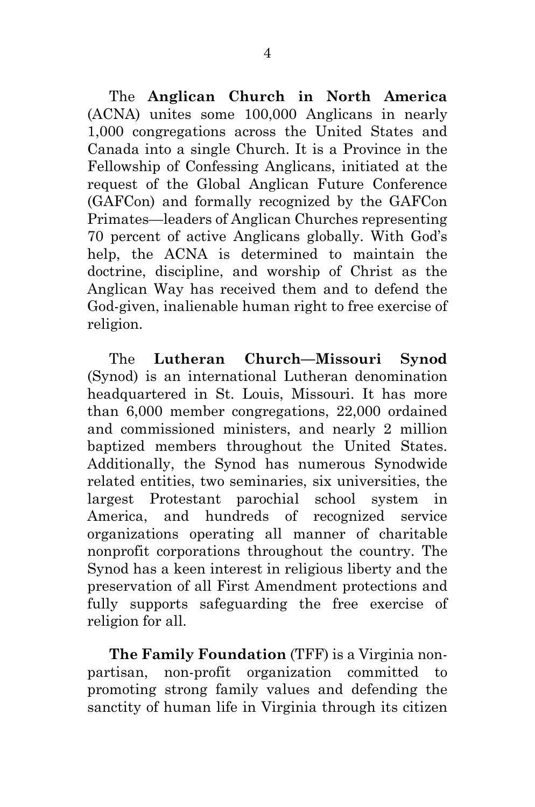The **Anglican Church in North America** (ACNA) unites some 100,000 Anglicans in nearly 1,000 congregations across the United States and Canada into a single Church. It is a Province in the Fellowship of Confessing Anglicans, initiated at the request of the Global Anglican Future Conference (GAFCon) and formally recognized by the GAFCon Primates—leaders of Anglican Churches representing 70 percent of active Anglicans globally. With God's help, the ACNA is determined to maintain the doctrine, discipline, and worship of Christ as the Anglican Way has received them and to defend the God-given, inalienable human right to free exercise of religion.

The **Lutheran Church—Missouri Synod** (Synod) is an international Lutheran denomination headquartered in St. Louis, Missouri. It has more than 6,000 member congregations, 22,000 ordained and commissioned ministers, and nearly 2 million baptized members throughout the United States. Additionally, the Synod has numerous Synodwide related entities, two seminaries, six universities, the largest Protestant parochial school system in America, and hundreds of recognized service organizations operating all manner of charitable nonprofit corporations throughout the country. The Synod has a keen interest in religious liberty and the preservation of all First Amendment protections and fully supports safeguarding the free exercise of religion for all.

**The Family Foundation** (TFF) is a Virginia nonpartisan, non-profit organization committed to promoting strong family values and defending the sanctity of human life in Virginia through its citizen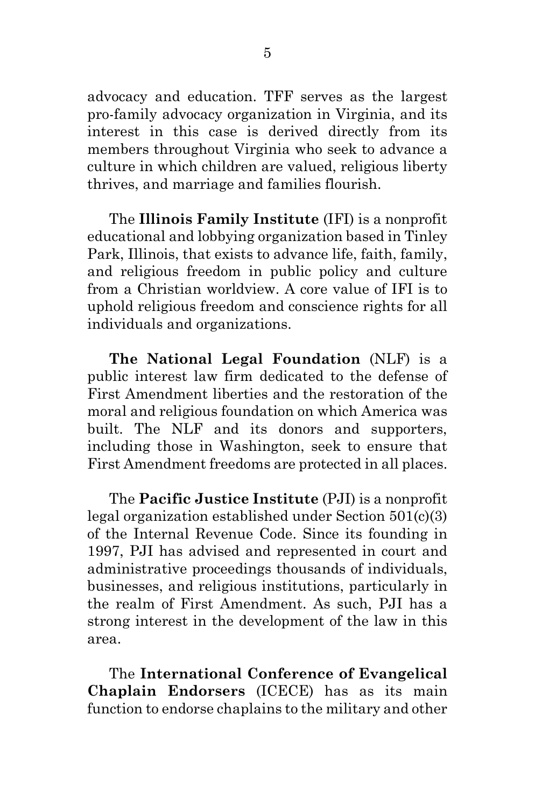advocacy and education. TFF serves as the largest pro-family advocacy organization in Virginia, and its interest in this case is derived directly from its members throughout Virginia who seek to advance a culture in which children are valued, religious liberty thrives, and marriage and families flourish.

The **Illinois Family Institute** (IFI) is a nonprofit educational and lobbying organization based in Tinley Park, Illinois, that exists to advance life, faith, family, and religious freedom in public policy and culture from a Christian worldview. A core value of IFI is to uphold religious freedom and conscience rights for all individuals and organizations.

**The National Legal Foundation** (NLF) is a public interest law firm dedicated to the defense of First Amendment liberties and the restoration of the moral and religious foundation on which America was built. The NLF and its donors and supporters, including those in Washington, seek to ensure that First Amendment freedoms are protected in all places.

The **Pacific Justice Institute** (PJI) is a nonprofit legal organization established under Section 501(c)(3) of the Internal Revenue Code. Since its founding in 1997, PJI has advised and represented in court and administrative proceedings thousands of individuals, businesses, and religious institutions, particularly in the realm of First Amendment. As such, PJI has a strong interest in the development of the law in this area.

The **International Conference of Evangelical Chaplain Endorsers** (ICECE) has as its main function to endorse chaplains to the military and other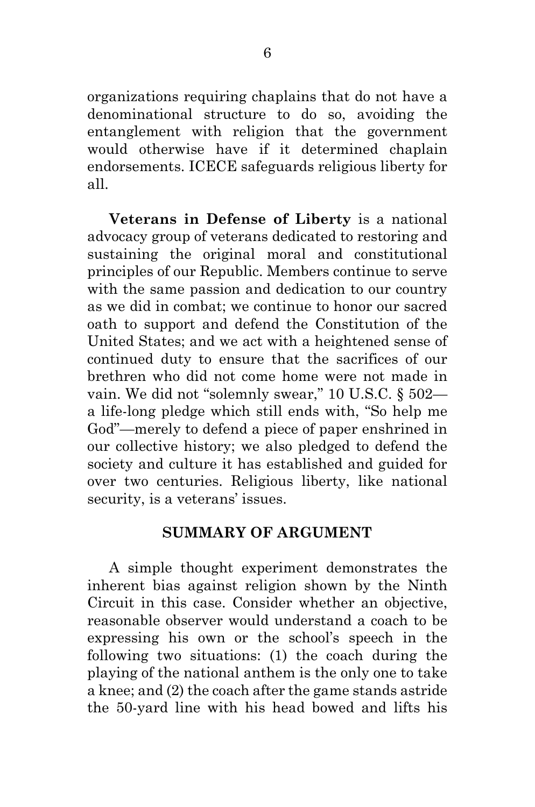organizations requiring chaplains that do not have a denominational structure to do so, avoiding the entanglement with religion that the government would otherwise have if it determined chaplain endorsements. ICECE safeguards religious liberty for all.

**Veterans in Defense of Liberty** is a national advocacy group of veterans dedicated to restoring and sustaining the original moral and constitutional principles of our Republic. Members continue to serve with the same passion and dedication to our country as we did in combat; we continue to honor our sacred oath to support and defend the Constitution of the United States; and we act with a heightened sense of continued duty to ensure that the sacrifices of our brethren who did not come home were not made in vain. We did not "solemnly swear," 10 U.S.C. § 502 a life-long pledge which still ends with, "So help me God"—merely to defend a piece of paper enshrined in our collective history; we also pledged to defend the society and culture it has established and guided for over two centuries. Religious liberty, like national security, is a veterans' issues.

### **SUMMARY OF ARGUMENT**

A simple thought experiment demonstrates the inherent bias against religion shown by the Ninth Circuit in this case. Consider whether an objective, reasonable observer would understand a coach to be expressing his own or the school's speech in the following two situations: (1) the coach during the playing of the national anthem is the only one to take a knee; and (2) the coach after the game stands astride the 50-yard line with his head bowed and lifts his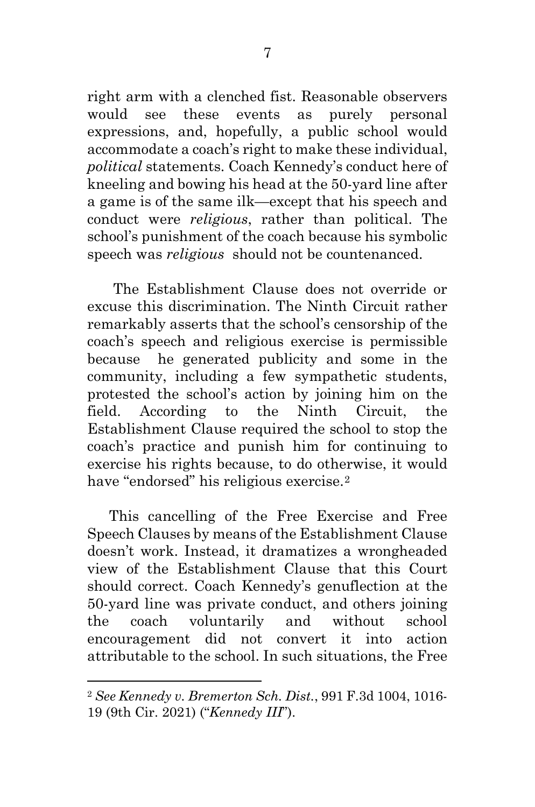<span id="page-14-0"></span>right arm with a clenched fist. Reasonable observers would see these events as purely personal expressions, and, hopefully, a public school would accommodate a coach's right to make these individual, *political* statements. Coach Kennedy's conduct here of kneeling and bowing his head at the 50-yard line after a game is of the same ilk—except that his speech and conduct were *religious*, rather than political. The school's punishment of the coach because his symbolic speech was *religious* should not be countenanced.

The Establishment Clause does not override or excuse this discrimination. The Ninth Circuit rather remarkably asserts that the school's censorship of the coach's speech and religious exercise is permissible because he generated publicity and some in the community, including a few sympathetic students, protested the school's action by joining him on the field. According to the Ninth Circuit, the Establishment Clause required the school to stop the coach's practice and punish him for continuing to exercise his rights because, to do otherwise, it would have "endorsed" his religious exercise.<sup>[2](#page-14-0)</sup>

This cancelling of the Free Exercise and Free Speech Clauses by means of the Establishment Clause doesn't work. Instead, it dramatizes a wrongheaded view of the Establishment Clause that this Court should correct. Coach Kennedy's genuflection at the 50-yard line was private conduct, and others joining the coach voluntarily and without school encouragement did not convert it into action attributable to the school. In such situations, the Free

<sup>2</sup> *See Kennedy v. Bremerton Sch. Dist.*, 991 F.3d 1004, 1016- 19 (9th Cir. 2021) ("*Kennedy III*").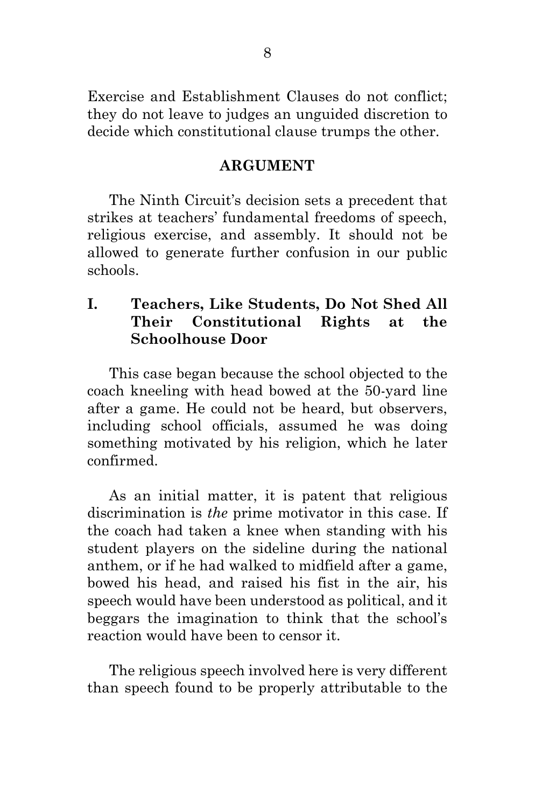Exercise and Establishment Clauses do not conflict; they do not leave to judges an unguided discretion to decide which constitutional clause trumps the other.

#### **ARGUMENT**

The Ninth Circuit's decision sets a precedent that strikes at teachers' fundamental freedoms of speech, religious exercise, and assembly. It should not be allowed to generate further confusion in our public schools.

## **I. Teachers, Like Students, Do Not Shed All Their Constitutional Rights at the Schoolhouse Door**

This case began because the school objected to the coach kneeling with head bowed at the 50-yard line after a game. He could not be heard, but observers, including school officials, assumed he was doing something motivated by his religion, which he later confirmed.

As an initial matter, it is patent that religious discrimination is *the* prime motivator in this case. If the coach had taken a knee when standing with his student players on the sideline during the national anthem, or if he had walked to midfield after a game, bowed his head, and raised his fist in the air, his speech would have been understood as political, and it beggars the imagination to think that the school's reaction would have been to censor it.

The religious speech involved here is very different than speech found to be properly attributable to the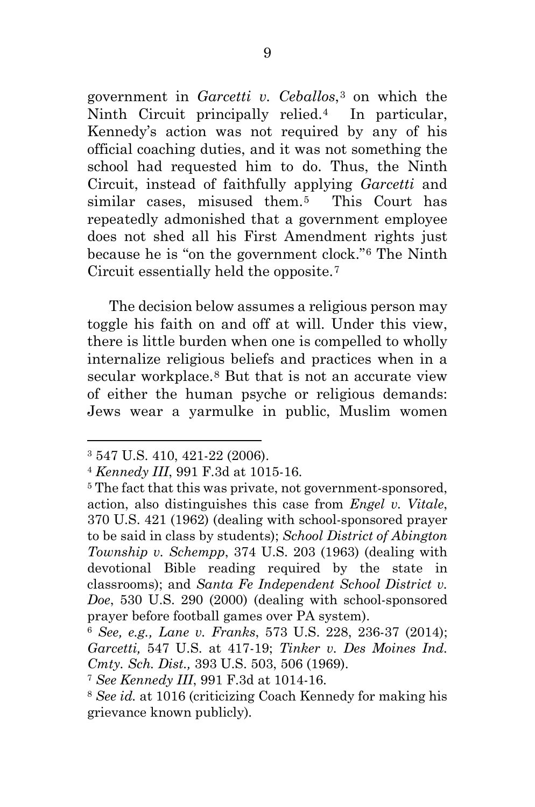<span id="page-16-5"></span><span id="page-16-4"></span><span id="page-16-3"></span><span id="page-16-2"></span><span id="page-16-1"></span><span id="page-16-0"></span>government in *Garcetti v. Ceballos*,[3](#page-16-0) on which the Ninth Circuit principally relied.[4](#page-16-1) In particular, Kennedy's action was not required by any of his official coaching duties, and it was not something the school had requested him to do. Thus, the Ninth Circuit, instead of faithfully applying *Garcetti* and similar cases, misused them.[5](#page-16-2) This Court has repeatedly admonished that a government employee does not shed all his First Amendment rights just because he is "on the government clock."[6](#page-16-3) The Ninth Circuit essentially held the opposite.[7](#page-16-4)

The decision below assumes a religious person may toggle his faith on and off at will. Under this view, there is little burden when one is compelled to wholly internalize religious beliefs and practices when in a secular workplace.<sup>[8](#page-16-5)</sup> But that is not an accurate view of either the human psyche or religious demands: Jews wear a yarmulke in public, Muslim women

<sup>3</sup> 547 U.S. 410, 421-22 (2006).

<sup>4</sup> *Kennedy III*, 991 F.3d at 1015-16.

<sup>&</sup>lt;sup>5</sup> The fact that this was private, not government-sponsored, action, also distinguishes this case from *Engel v. Vitale*, 370 U.S. 421 (1962) (dealing with school-sponsored prayer to be said in class by students); *School District of Abington Township v. Schempp*, 374 U.S. 203 (1963) (dealing with devotional Bible reading required by the state in classrooms); and *Santa Fe Independent School District v. Doe*, 530 U.S. 290 (2000) (dealing with school-sponsored prayer before football games over PA system).

<sup>6</sup> *See, e.g., Lane v. Franks*, 573 U.S. 228, 236-37 (2014); *Garcetti,* 547 U.S. at 417-19; *Tinker v. Des Moines Ind. Cmty. Sch. Dist.,* 393 U.S. 503, 506 (1969).

<sup>7</sup> *See Kennedy III*, 991 F.3d at 1014-16.

<sup>8</sup> *See id.* at 1016 (criticizing Coach Kennedy for making his grievance known publicly)*.*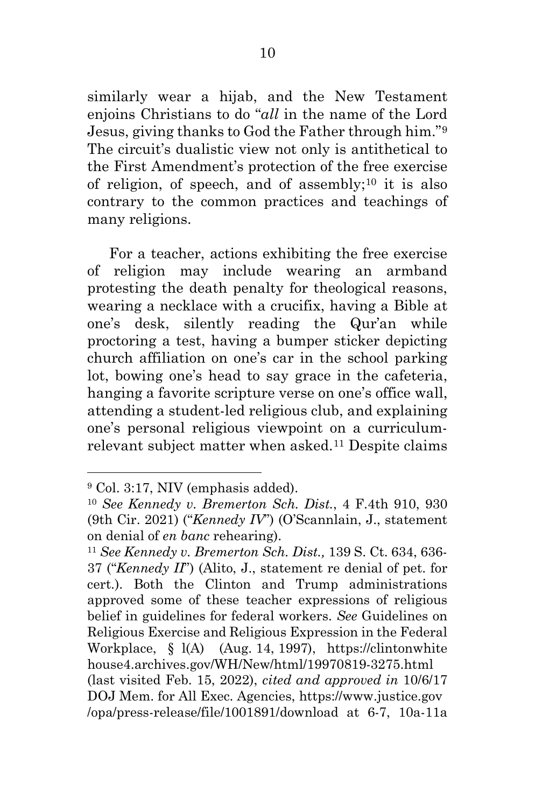<span id="page-17-2"></span><span id="page-17-1"></span><span id="page-17-0"></span>similarly wear a hijab, and the New Testament enjoins Christians to do "*all* in the name of the Lord Jesus, giving thanks to God the Father through him."[9](#page-17-0) The circuit's dualistic view not only is antithetical to the First Amendment's protection of the free exercise of religion, of speech, and of assembly;<sup>[10](#page-17-1)</sup> it is also contrary to the common practices and teachings of many religions.

For a teacher, actions exhibiting the free exercise of religion may include wearing an armband protesting the death penalty for theological reasons, wearing a necklace with a crucifix, having a Bible at one's desk, silently reading the Qur'an while proctoring a test, having a bumper sticker depicting church affiliation on one's car in the school parking lot, bowing one's head to say grace in the cafeteria, hanging a favorite scripture verse on one's office wall, attending a student-led religious club, and explaining one's personal religious viewpoint on a curriculumrelevant subject matter when asked.[11](#page-17-2) Despite claims

<sup>9</sup> Col. 3:17, NIV (emphasis added).

<sup>10</sup> *See Kennedy v. Bremerton Sch. Dist.*, 4 F.4th 910, 930 (9th Cir. 2021) ("*Kennedy IV*") (O'Scannlain, J., statement on denial of *en banc* rehearing).

<sup>11</sup> *See Kennedy v. Bremerton Sch. Dist.,* 139 S. Ct. 634, 636- 37 ("*Kennedy II*") (Alito, J., statement re denial of pet. for cert.). Both the Clinton and Trump administrations approved some of these teacher expressions of religious belief in guidelines for federal workers. *See* Guidelines on Religious Exercise and Religious Expression in the Federal Workplace, § l(A) (Aug. 14, 1997), https://clintonwhite house4.archives.gov/WH/New/html/19970819-3275.html (last visited Feb. 15, 2022), *cited and approved in* 10/6/17 DOJ Mem. for All Exec. Agencies, https://www.justice.gov /opa/press-release/file/1001891/download at 6-7, 10a-11a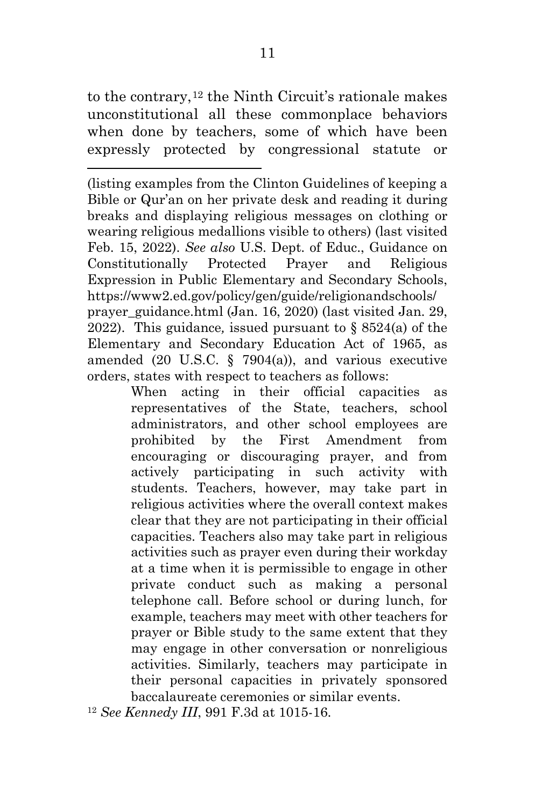<span id="page-18-0"></span>to the contrary,[12](#page-18-0) the Ninth Circuit's rationale makes unconstitutional all these commonplace behaviors when done by teachers, some of which have been expressly protected by congressional statute or

(listing examples from the Clinton Guidelines of keeping a Bible or Qur'an on her private desk and reading it during breaks and displaying religious messages on clothing or wearing religious medallions visible to others) (last visited Feb. 15, 2022). *See also* U.S. Dept. of Educ., Guidance on Constitutionally Protected Prayer and Religious Expression in Public Elementary and Secondary Schools, https://www2.ed.gov/policy/gen/guide/religionandschools/ prayer\_guidance.html (Jan. 16, 2020) (last visited Jan. 29, 2022). This guidance*,* issued pursuant to § 8524(a) of the Elementary and Secondary Education Act of 1965, as amended (20 U.S.C. § 7904(a)), and various executive orders, states with respect to teachers as follows:

> When acting in their official capacities as representatives of the State, teachers, school administrators, and other school employees are prohibited by the First Amendment from encouraging or discouraging prayer, and from actively participating in such activity with students. Teachers, however, may take part in religious activities where the overall context makes clear that they are not participating in their official capacities. Teachers also may take part in religious activities such as prayer even during their workday at a time when it is permissible to engage in other private conduct such as making a personal telephone call. Before school or during lunch, for example, teachers may meet with other teachers for prayer or Bible study to the same extent that they may engage in other conversation or nonreligious activities. Similarly, teachers may participate in their personal capacities in privately sponsored baccalaureate ceremonies or similar events.

<sup>12</sup> *See Kennedy III*, 991 F.3d at 1015-16.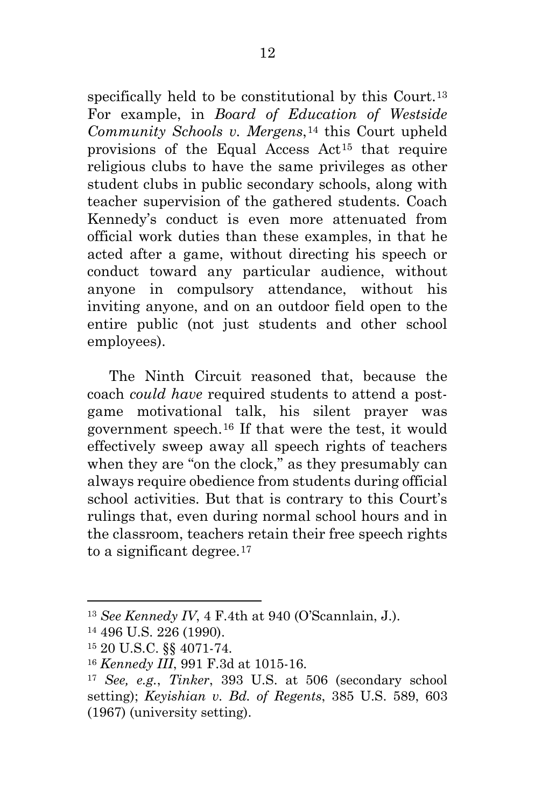<span id="page-19-4"></span><span id="page-19-3"></span><span id="page-19-2"></span><span id="page-19-1"></span><span id="page-19-0"></span>specifically held to be constitutional by this Court.<sup>[13](#page-19-0)</sup> For example, in *Board of Education of Westside Community Schools v. Mergens*,[14](#page-19-1) this Court upheld provisions of the Equal Access Act[15](#page-19-2) that require religious clubs to have the same privileges as other student clubs in public secondary schools, along with teacher supervision of the gathered students. Coach Kennedy's conduct is even more attenuated from official work duties than these examples, in that he acted after a game, without directing his speech or conduct toward any particular audience, without anyone in compulsory attendance, without his inviting anyone, and on an outdoor field open to the entire public (not just students and other school employees).

The Ninth Circuit reasoned that, because the coach *could have* required students to attend a postgame motivational talk, his silent prayer was government speech.[16](#page-19-3) If that were the test, it would effectively sweep away all speech rights of teachers when they are "on the clock," as they presumably can always require obedience from students during official school activities. But that is contrary to this Court's rulings that, even during normal school hours and in the classroom, teachers retain their free speech rights to a significant degree.<sup>[17](#page-19-4)</sup>

<sup>13</sup> *See Kennedy IV*, 4 F.4th at 940 (O'Scannlain, J.).

<sup>14</sup> 496 U.S. 226 (1990).

<sup>15</sup> 20 U.S.C. §§ 4071-74.

<sup>16</sup> *Kennedy III*, 991 F.3d at 1015-16.

<sup>17</sup> *See, e.g.*, *Tinker*, 393 U.S. at 506 (secondary school setting); *Keyishian v. Bd. of Regents*, 385 U.S. 589, 603 (1967) (university setting).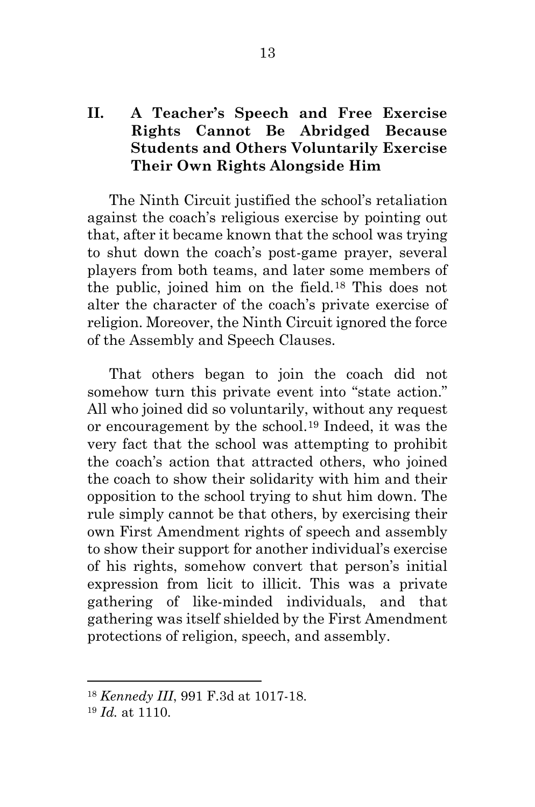## <span id="page-20-1"></span><span id="page-20-0"></span>**II. A Teacher's Speech and Free Exercise Rights Cannot Be Abridged Because Students and Others Voluntarily Exercise Their Own Rights Alongside Him**

The Ninth Circuit justified the school's retaliation against the coach's religious exercise by pointing out that, after it became known that the school was trying to shut down the coach's post-game prayer, several players from both teams, and later some members of the public, joined him on the field.[18](#page-20-0) This does not alter the character of the coach's private exercise of religion. Moreover, the Ninth Circuit ignored the force of the Assembly and Speech Clauses.

That others began to join the coach did not somehow turn this private event into "state action." All who joined did so voluntarily, without any request or encouragement by the school.[19](#page-20-1) Indeed, it was the very fact that the school was attempting to prohibit the coach's action that attracted others, who joined the coach to show their solidarity with him and their opposition to the school trying to shut him down. The rule simply cannot be that others, by exercising their own First Amendment rights of speech and assembly to show their support for another individual's exercise of his rights, somehow convert that person's initial expression from licit to illicit. This was a private gathering of like-minded individuals, and that gathering was itself shielded by the First Amendment protections of religion, speech, and assembly.

<sup>18</sup> *Kennedy III*, 991 F.3d at 1017-18.

<sup>19</sup> *Id.* at 1110.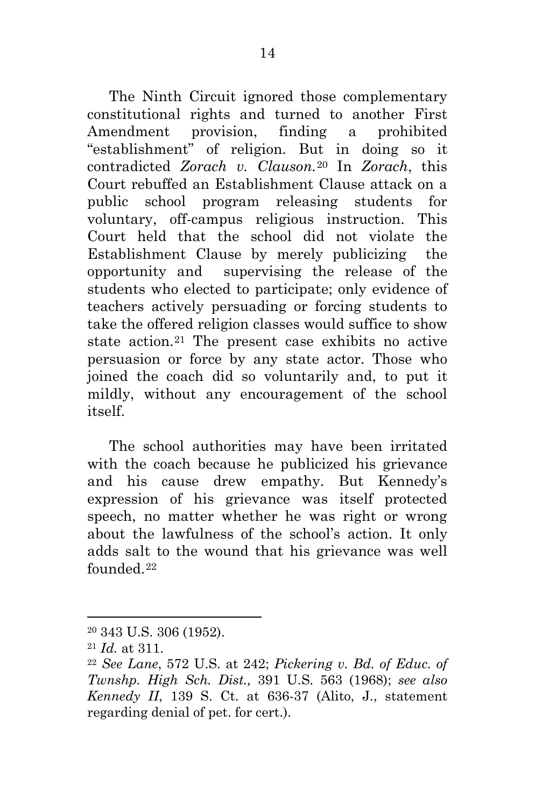<span id="page-21-2"></span><span id="page-21-1"></span><span id="page-21-0"></span>The Ninth Circuit ignored those complementary constitutional rights and turned to another First Amendment provision, finding a prohibited "establishment" of religion. But in doing so it contradicted *Zorach v. Clauson.*[20](#page-21-0) In *Zorach*, this Court rebuffed an Establishment Clause attack on a public school program releasing students for voluntary, off-campus religious instruction. This Court held that the school did not violate the Establishment Clause by merely publicizing the opportunity and supervising the release of the students who elected to participate; only evidence of teachers actively persuading or forcing students to take the offered religion classes would suffice to show state action.[21](#page-21-1) The present case exhibits no active persuasion or force by any state actor. Those who joined the coach did so voluntarily and, to put it mildly, without any encouragement of the school itself.

The school authorities may have been irritated with the coach because he publicized his grievance and his cause drew empathy. But Kennedy's expression of his grievance was itself protected speech, no matter whether he was right or wrong about the lawfulness of the school's action. It only adds salt to the wound that his grievance was well founded.[22](#page-21-2)

<sup>20</sup> 343 U.S. 306 (1952).

<sup>21</sup> *Id.* at 311.

<sup>22</sup> *See Lane*, 572 U.S. at 242; *Pickering v. Bd. of Educ. of Twnshp. High Sch. Dist.,* 391 U.S. 563 (1968); *see also Kennedy II*, 139 S. Ct. at 636-37 (Alito, J., statement regarding denial of pet. for cert.).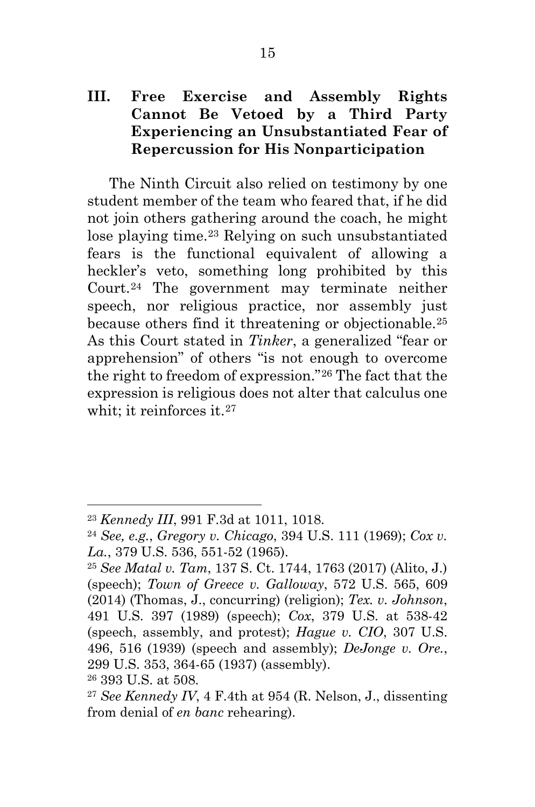## <span id="page-22-4"></span><span id="page-22-3"></span><span id="page-22-2"></span><span id="page-22-1"></span><span id="page-22-0"></span>**III. Free Exercise and Assembly Rights Cannot Be Vetoed by a Third Party Experiencing an Unsubstantiated Fear of Repercussion for His Nonparticipation**

The Ninth Circuit also relied on testimony by one student member of the team who feared that, if he did not join others gathering around the coach, he might lose playing time.[23](#page-22-0) Relying on such unsubstantiated fears is the functional equivalent of allowing a heckler's veto, something long prohibited by this Court.[24](#page-22-1) The government may terminate neither speech, nor religious practice, nor assembly just because others find it threatening or objectionable.[25](#page-22-2) As this Court stated in *Tinker*, a generalized "fear or apprehension" of others "is not enough to overcome the right to freedom of expression."[26](#page-22-3) The fact that the expression is religious does not alter that calculus one whit; it reinforces it.<sup>[27](#page-22-4)</sup>

<sup>23</sup> *Kennedy III*, 991 F.3d at 1011, 1018.

<sup>24</sup> *See, e.g.*, *Gregory v. Chicago*, 394 U.S. 111 (1969); *Cox v. La.*, 379 U.S. 536, 551-52 (1965).

<sup>25</sup> *See Matal v. Tam*, 137 S. Ct. 1744, 1763 (2017) (Alito, J.) (speech); *Town of Greece v. Galloway*, 572 U.S. 565, 609 (2014) (Thomas, J., concurring) (religion); *Tex. v. Johnson*, 491 U.S. 397 (1989) (speech); *Cox*, 379 U.S. at 538-42 (speech, assembly, and protest); *Hague v. CIO*, 307 U.S. 496, 516 (1939) (speech and assembly); *DeJonge v. Ore.*, 299 U.S. 353, 364-65 (1937) (assembly).

<sup>26</sup> 393 U.S. at 508.

<sup>27</sup> *See Kennedy IV*, 4 F.4th at 954 (R. Nelson, J., dissenting from denial of *en banc* rehearing).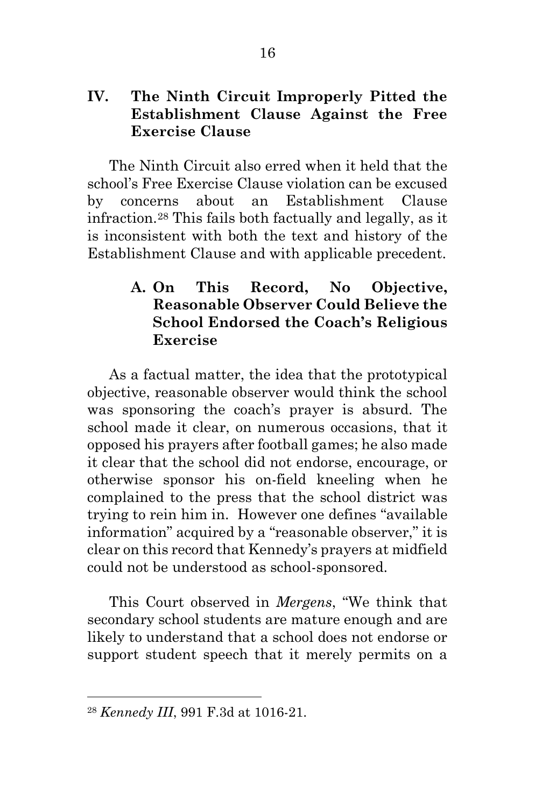### <span id="page-23-0"></span>**IV. The Ninth Circuit Improperly Pitted the Establishment Clause Against the Free Exercise Clause**

The Ninth Circuit also erred when it held that the school's Free Exercise Clause violation can be excused by concerns about an Establishment Clause infraction.[28](#page-23-0) This fails both factually and legally, as it is inconsistent with both the text and history of the Establishment Clause and with applicable precedent.

## **A. On This Record, No Objective, Reasonable Observer Could Believe the School Endorsed the Coach's Religious Exercise**

As a factual matter, the idea that the prototypical objective, reasonable observer would think the school was sponsoring the coach's prayer is absurd. The school made it clear, on numerous occasions, that it opposed his prayers after football games; he also made it clear that the school did not endorse, encourage, or otherwise sponsor his on-field kneeling when he complained to the press that the school district was trying to rein him in. However one defines "available information" acquired by a "reasonable observer," it is clear on this record that Kennedy's prayers at midfield could not be understood as school-sponsored.

This Court observed in *Mergens*, "We think that secondary school students are mature enough and are likely to understand that a school does not endorse or support student speech that it merely permits on a

<sup>28</sup> *Kennedy III*, 991 F.3d at 1016-21.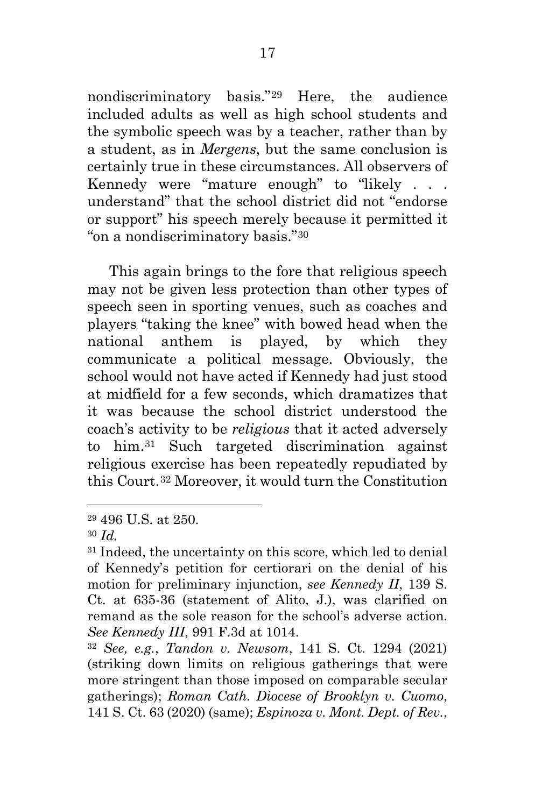<span id="page-24-3"></span><span id="page-24-2"></span><span id="page-24-1"></span><span id="page-24-0"></span>nondiscriminatory basis."[29](#page-24-0) Here, the audience included adults as well as high school students and the symbolic speech was by a teacher, rather than by a student, as in *Mergens*, but the same conclusion is certainly true in these circumstances. All observers of Kennedy were "mature enough" to "likely . . . understand" that the school district did not "endorse or support" his speech merely because it permitted it "on a nondiscriminatory basis."[30](#page-24-1)

This again brings to the fore that religious speech may not be given less protection than other types of speech seen in sporting venues, such as coaches and players "taking the knee" with bowed head when the national anthem is played, by which they communicate a political message. Obviously, the school would not have acted if Kennedy had just stood at midfield for a few seconds, which dramatizes that it was because the school district understood the coach's activity to be *religious* that it acted adversely to him[.31](#page-24-2) Such targeted discrimination against religious exercise has been repeatedly repudiated by this Court.[32](#page-24-3) Moreover, it would turn the Constitution

<sup>29</sup> 496 U.S. at 250.

<sup>30</sup> *Id.*

<sup>&</sup>lt;sup>31</sup> Indeed, the uncertainty on this score, which led to denial of Kennedy's petition for certiorari on the denial of his motion for preliminary injunction, *see Kennedy II*, 139 S. Ct. at 635-36 (statement of Alito, J.), was clarified on remand as the sole reason for the school's adverse action. *See Kennedy III*, 991 F.3d at 1014.

<sup>32</sup> *See, e.g.*, *Tandon v. Newsom*, 141 S. Ct. 1294 (2021) (striking down limits on religious gatherings that were more stringent than those imposed on comparable secular gatherings); *Roman Cath. Diocese of Brooklyn v. Cuomo*, 141 S. Ct. 63 (2020) (same); *Espinoza v. Mont. Dept. of Rev.*,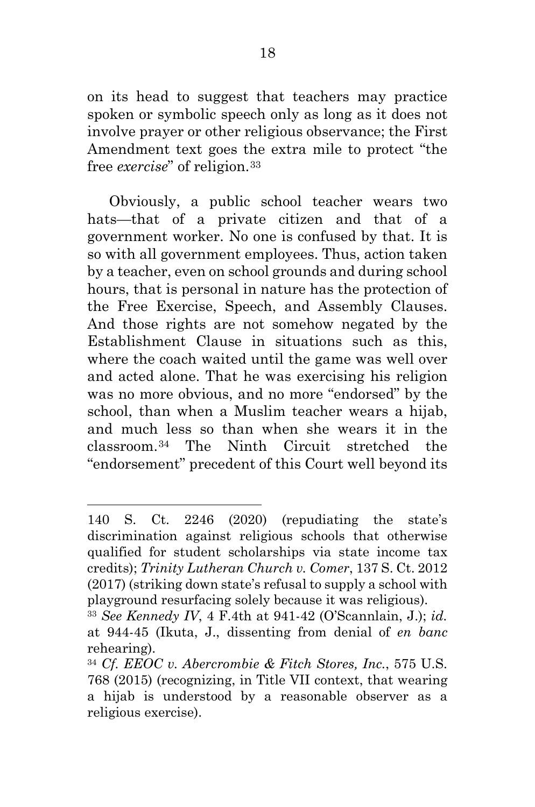<span id="page-25-1"></span><span id="page-25-0"></span>on its head to suggest that teachers may practice spoken or symbolic speech only as long as it does not involve prayer or other religious observance; the First Amendment text goes the extra mile to protect "the free *exercise*" of religion.[33](#page-25-0)

Obviously, a public school teacher wears two hats—that of a private citizen and that of a government worker. No one is confused by that. It is so with all government employees. Thus, action taken by a teacher, even on school grounds and during school hours, that is personal in nature has the protection of the Free Exercise, Speech, and Assembly Clauses. And those rights are not somehow negated by the Establishment Clause in situations such as this, where the coach waited until the game was well over and acted alone. That he was exercising his religion was no more obvious, and no more "endorsed" by the school, than when a Muslim teacher wears a hijab, and much less so than when she wears it in the classroom.[34](#page-25-1) The Ninth Circuit stretched the "endorsement" precedent of this Court well beyond its

<sup>140</sup> S. Ct. 2246 (2020) (repudiating the state's discrimination against religious schools that otherwise qualified for student scholarships via state income tax credits); *Trinity Lutheran Church v. Comer*, 137 S. Ct. 2012 (2017) (striking down state's refusal to supply a school with playground resurfacing solely because it was religious).

<sup>33</sup> *See Kennedy IV*, 4 F.4th at 941-42 (O'Scannlain, J.); *id.*  at 944-45 (Ikuta, J., dissenting from denial of *en banc* rehearing).

<sup>34</sup> *Cf. EEOC v. Abercrombie & Fitch Stores, Inc.*, 575 U.S. 768 (2015) (recognizing, in Title VII context, that wearing a hijab is understood by a reasonable observer as a religious exercise).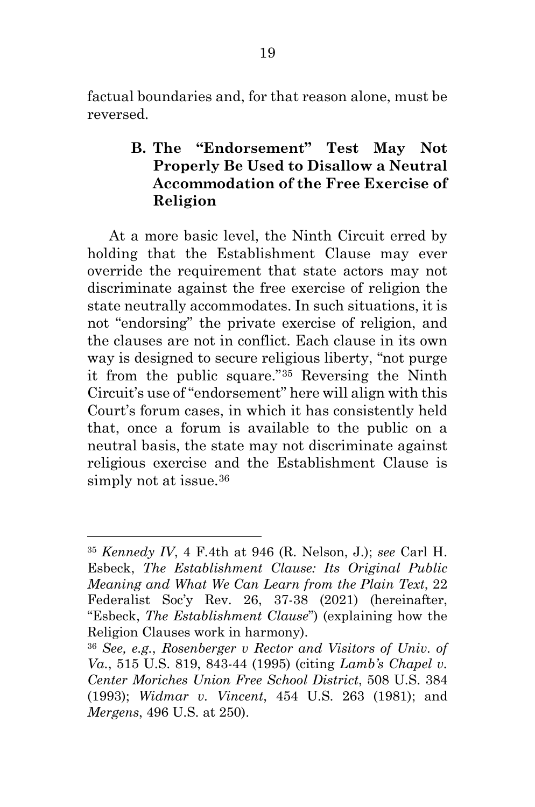<span id="page-26-0"></span>factual boundaries and, for that reason alone, must be reversed.

### <span id="page-26-1"></span>**B. The "Endorsement" Test May Not Properly Be Used to Disallow a Neutral Accommodation of the Free Exercise of Religion**

At a more basic level, the Ninth Circuit erred by holding that the Establishment Clause may ever override the requirement that state actors may not discriminate against the free exercise of religion the state neutrally accommodates. In such situations, it is not "endorsing" the private exercise of religion, and the clauses are not in conflict. Each clause in its own way is designed to secure religious liberty, "not purge it from the public square."[35](#page-26-0) Reversing the Ninth Circuit's use of "endorsement" here will align with this Court's forum cases, in which it has consistently held that, once a forum is available to the public on a neutral basis, the state may not discriminate against religious exercise and the Establishment Clause is simply not at issue.<sup>36</sup>

<sup>35</sup> *Kennedy IV*, 4 F.4th at 946 (R. Nelson, J.); *see* Carl H. Esbeck, *The Establishment Clause: Its Original Public Meaning and What We Can Learn from the Plain Text*, 22 Federalist Soc'y Rev. 26, 37-38 (2021) (hereinafter, "Esbeck, *The Establishment Clause*") (explaining how the Religion Clauses work in harmony).

<sup>36</sup> *See, e.g.*, *Rosenberger v Rector and Visitors of Univ. of Va.*, 515 U.S. 819, 843-44 (1995) (citing *Lamb's Chapel v. Center Moriches Union Free School District*, 508 U.S. 384 (1993); *Widmar v. Vincent*, 454 U.S. 263 (1981); and *Mergens*, 496 U.S. at 250).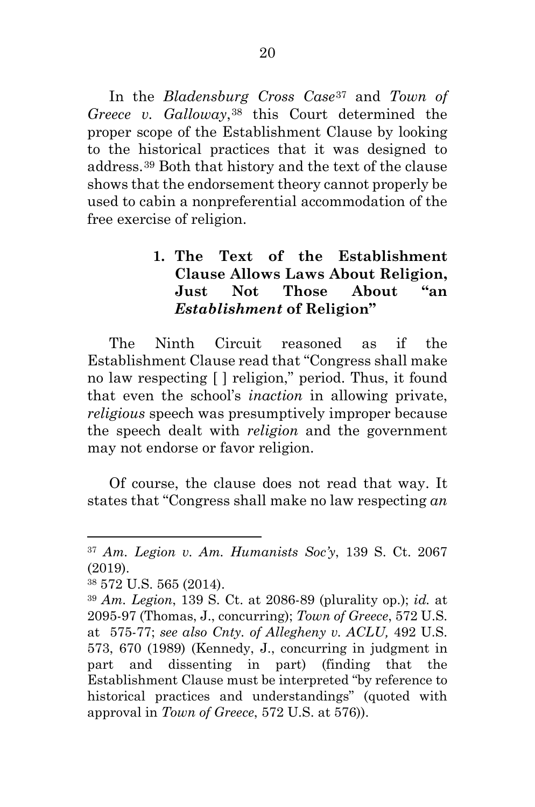<span id="page-27-2"></span><span id="page-27-1"></span><span id="page-27-0"></span>In the *Bladensburg Cross Case*[37](#page-27-0) and *Town of Greece v. Galloway*<sup>[38](#page-27-1)</sup> this Court determined the proper scope of the Establishment Clause by looking to the historical practices that it was designed to address.[39](#page-27-2) Both that history and the text of the clause shows that the endorsement theory cannot properly be used to cabin a nonpreferential accommodation of the free exercise of religion.

### **1. The Text of the Establishment Clause Allows Laws About Religion, Just Not Those About "an** *Establishment* **of Religion"**

The Ninth Circuit reasoned as if the Establishment Clause read that "Congress shall make no law respecting [ ] religion," period. Thus, it found that even the school's *inaction* in allowing private, *religious* speech was presumptively improper because the speech dealt with *religion* and the government may not endorse or favor religion.

Of course, the clause does not read that way. It states that "Congress shall make no law respecting *an* 

<sup>37</sup> *Am. Legion v. Am. Humanists Soc'y*, 139 S. Ct. 2067 (2019).

<sup>38</sup> 572 U.S. 565 (2014).

<sup>39</sup> *Am. Legion*, 139 S. Ct. at 2086-89 (plurality op.); *id.* at 2095-97 (Thomas, J., concurring); *Town of Greece*, 572 U.S. at 575-77; *see also Cnty. of Allegheny v. ACLU,* 492 U.S. 573, 670 (1989) (Kennedy, J., concurring in judgment in part and dissenting in part) (finding that the Establishment Clause must be interpreted "by reference to historical practices and understandings" (quoted with approval in *Town of Greece*, 572 U.S. at 576)).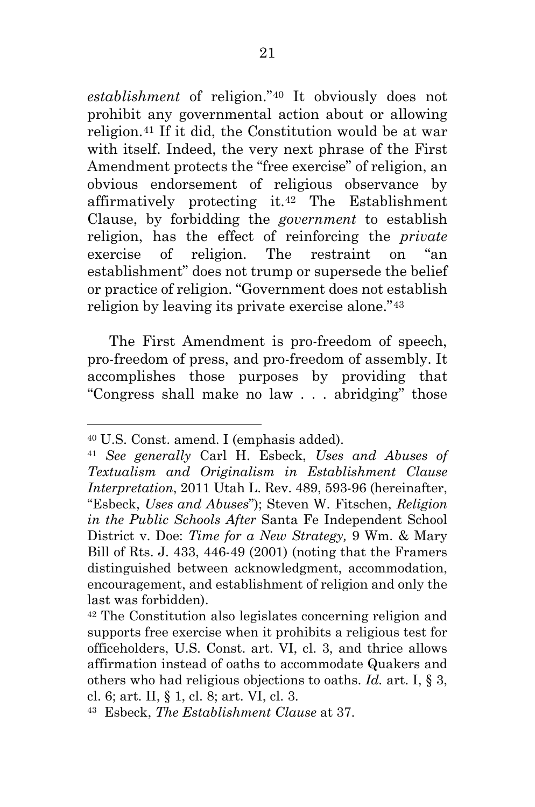<span id="page-28-3"></span><span id="page-28-2"></span><span id="page-28-1"></span><span id="page-28-0"></span>*establishment* of religion."[40](#page-28-0) It obviously does not prohibit any governmental action about or allowing religion.[41](#page-28-1) If it did, the Constitution would be at war with itself. Indeed, the very next phrase of the First Amendment protects the "free exercise" of religion, an obvious endorsement of religious observance by affirmatively protecting it.[42](#page-28-2) The Establishment Clause, by forbidding the *government* to establish religion, has the effect of reinforcing the *private* exercise of religion. The restraint on "an establishment" does not trump or supersede the belief or practice of religion. "Government does not establish religion by leaving its private exercise alone."[43](#page-28-3)

The First Amendment is pro-freedom of speech, pro-freedom of press, and pro-freedom of assembly. It accomplishes those purposes by providing that "Congress shall make no law . . . abridging" those

<sup>40</sup> U.S. Const. amend. I (emphasis added).

<sup>41</sup> *See generally* Carl H. Esbeck, *Uses and Abuses of Textualism and Originalism in Establishment Clause Interpretation*, 2011 Utah L. Rev. 489, 593-96 (hereinafter, "Esbeck, *Uses and Abuses*"); Steven W. Fitschen, *Religion in the Public Schools After* Santa Fe Independent School District v. Doe: *Time for a New Strategy,* 9 Wm. & Mary Bill of Rts. J. 433, 446-49 (2001) (noting that the Framers distinguished between acknowledgment, accommodation, encouragement, and establishment of religion and only the last was forbidden).

<sup>42</sup> The Constitution also legislates concerning religion and supports free exercise when it prohibits a religious test for officeholders, U.S. Const. art. VI, cl. 3, and thrice allows affirmation instead of oaths to accommodate Quakers and others who had religious objections to oaths. *Id.* art. I, § 3, cl. 6; art. II, § 1, cl. 8; art. VI, cl. 3.

<sup>43</sup> Esbeck, *The Establishment Clause* at 37.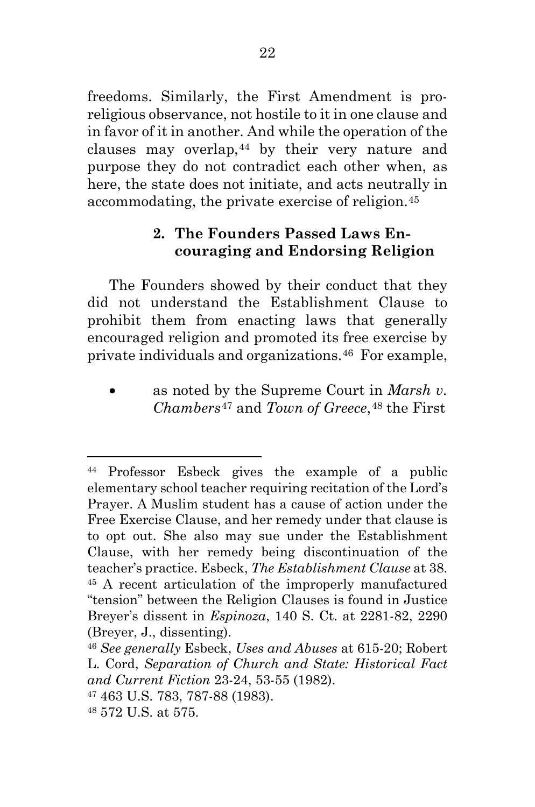<span id="page-29-4"></span><span id="page-29-3"></span><span id="page-29-2"></span><span id="page-29-1"></span><span id="page-29-0"></span>freedoms. Similarly, the First Amendment is proreligious observance, not hostile to it in one clause and in favor of it in another. And while the operation of the clauses may overlap,[44](#page-29-0) by their very nature and purpose they do not contradict each other when, as here, the state does not initiate, and acts neutrally in accommodating, the private exercise of religion.[45](#page-29-1)

## **2. The Founders Passed Laws Encouraging and Endorsing Religion**

The Founders showed by their conduct that they did not understand the Establishment Clause to prohibit them from enacting laws that generally encouraged religion and promoted its free exercise by private individuals and organizations.[46](#page-29-2) For example,

• as noted by the Supreme Court in *Marsh v. Chambers*[47](#page-29-3) and *Town of Greece*,[48](#page-29-4) the First

<sup>44</sup> Professor Esbeck gives the example of a public elementary school teacher requiring recitation of the Lord's Prayer. A Muslim student has a cause of action under the Free Exercise Clause, and her remedy under that clause is to opt out. She also may sue under the Establishment Clause, with her remedy being discontinuation of the teacher's practice. Esbeck, *The Establishment Clause* at 38. <sup>45</sup> A recent articulation of the improperly manufactured "tension" between the Religion Clauses is found in Justice Breyer's dissent in *Espinoza*, 140 S. Ct. at 2281-82, 2290 (Breyer, J., dissenting).

<sup>46</sup> *See generally* Esbeck, *Uses and Abuses* at 615-20; Robert L. Cord, *Separation of Church and State: Historical Fact and Current Fiction* 23-24, 53-55 (1982).

<sup>47</sup> 463 U.S. 783, 787-88 (1983).

<sup>48</sup> 572 U.S. at 575.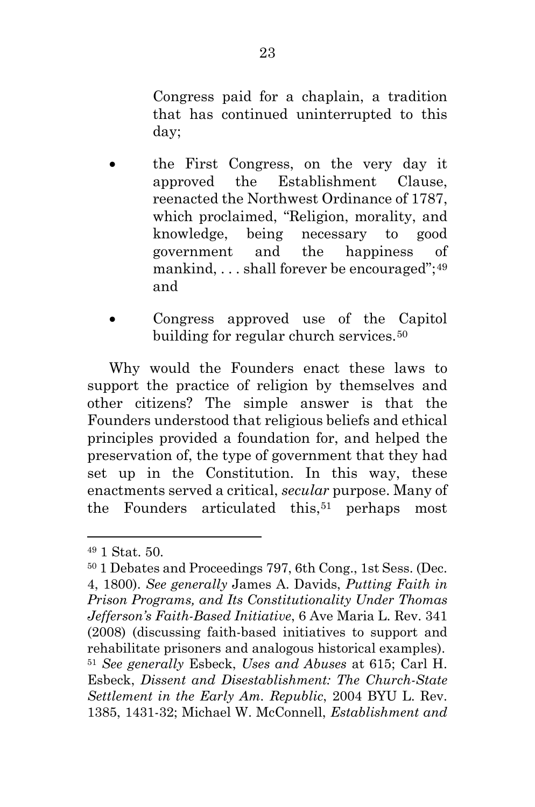<span id="page-30-2"></span><span id="page-30-1"></span><span id="page-30-0"></span>Congress paid for a chaplain, a tradition that has continued uninterrupted to this day;

- the First Congress, on the very day it approved the Establishment Clause, reenacted the Northwest Ordinance of 1787, which proclaimed, "Religion, morality, and knowledge, being necessary to good government and the happiness of mankind, ... shall forever be encouraged";<sup>[49](#page-30-0)</sup> and
- Congress approved use of the Capitol building for regular church services.<sup>[50](#page-30-1)</sup>

Why would the Founders enact these laws to support the practice of religion by themselves and other citizens? The simple answer is that the Founders understood that religious beliefs and ethical principles provided a foundation for, and helped the preservation of, the type of government that they had set up in the Constitution. In this way, these enactments served a critical, *secular* purpose. Many of the Founders articulated this,<sup>[51](#page-30-2)</sup> perhaps most

<sup>49</sup> 1 Stat. 50.

<sup>50</sup> 1 Debates and Proceedings 797, 6th Cong., 1st Sess. (Dec. 4, 1800). *See generally* James A. Davids, *Putting Faith in Prison Programs, and Its Constitutionality Under Thomas Jefferson's Faith-Based Initiative*, 6 Ave Maria L. Rev. 341 (2008) (discussing faith-based initiatives to support and rehabilitate prisoners and analogous historical examples). <sup>51</sup> *See generally* Esbeck, *Uses and Abuses* at 615; Carl H. Esbeck, *Dissent and Disestablishment: The Church-State Settlement in the Early Am. Republic*, 2004 BYU L. Rev. 1385, 1431-32; Michael W. McConnell, *Establishment and*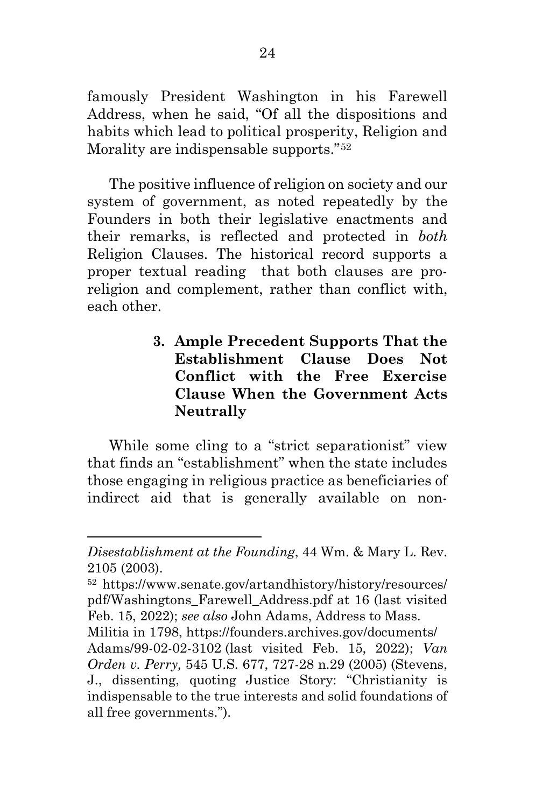<span id="page-31-0"></span>famously President Washington in his Farewell Address, when he said, "Of all the dispositions and habits which lead to political prosperity, Religion and Morality are indispensable supports."[52](#page-31-0)

The positive influence of religion on society and our system of government, as noted repeatedly by the Founders in both their legislative enactments and their remarks, is reflected and protected in *both* Religion Clauses. The historical record supports a proper textual reading that both clauses are proreligion and complement, rather than conflict with, each other.

> **3. Ample Precedent Supports That the Establishment Clause Does Not Conflict with the Free Exercise Clause When the Government Acts Neutrally**

While some cling to a "strict separationist" view that finds an "establishment" when the state includes those engaging in religious practice as beneficiaries of indirect aid that is generally available on non-

*Disestablishment at the Founding*, 44 Wm. & Mary L. Rev. 2105 (2003).

<sup>52</sup> https://www.senate.gov/artandhistory/history/resources/ pdf/Washingtons\_Farewell\_Address.pdf at 16 (last visited Feb. 15, 2022); *see also* John Adams, Address to Mass.

Militia in 1798, https://founders.archives.gov/documents/ Adams/99-02-02-3102 (last visited Feb. 15, 2022); *Van Orden v. Perry,* 545 U.S. 677, 727-28 n.29 (2005) (Stevens, J., dissenting, quoting Justice Story: "Christianity is indispensable to the true interests and solid foundations of all free governments.").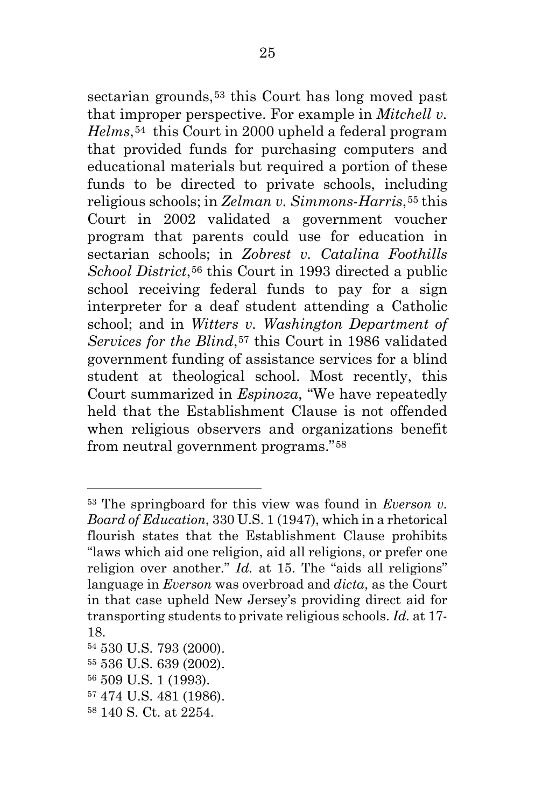<span id="page-32-5"></span><span id="page-32-4"></span><span id="page-32-3"></span><span id="page-32-2"></span><span id="page-32-1"></span><span id="page-32-0"></span>sectarian grounds,<sup>[53](#page-32-0)</sup> this Court has long moved past that improper perspective. For example in *Mitchell v. Helms*,[54](#page-32-1) this Court in 2000 upheld a federal program that provided funds for purchasing computers and educational materials but required a portion of these funds to be directed to private schools, including religious schools; in *Zelman v. Simmons-Harris*,[55](#page-32-2) this Court in 2002 validated a government voucher program that parents could use for education in sectarian schools; in *Zobrest v. Catalina Foothills School District*,[56](#page-32-3) this Court in 1993 directed a public school receiving federal funds to pay for a sign interpreter for a deaf student attending a Catholic school; and in *Witters v. Washington Department of Services for the Blind*,<sup>[57](#page-32-4)</sup> this Court in 1986 validated government funding of assistance services for a blind student at theological school. Most recently, this Court summarized in *Espinoza*, "We have repeatedly held that the Establishment Clause is not offended when religious observers and organizations benefit from neutral government programs."[58](#page-32-5)

<sup>53</sup> The springboard for this view was found in *Everson v. Board of Education*, 330 U.S. 1 (1947), which in a rhetorical flourish states that the Establishment Clause prohibits "laws which aid one religion, aid all religions, or prefer one religion over another." *Id.* at 15. The "aids all religions" language in *Everson* was overbroad and *dicta*, as the Court in that case upheld New Jersey's providing direct aid for transporting students to private religious schools. *Id.* at 17- 18.

<sup>54</sup> 530 U.S. 793 (2000).

<sup>55</sup> 536 U.S. 639 (2002).

<sup>56</sup> 509 U.S. 1 (1993).

<sup>57</sup> 474 U.S. 481 (1986).

<sup>58</sup> 140 S. Ct. at 2254.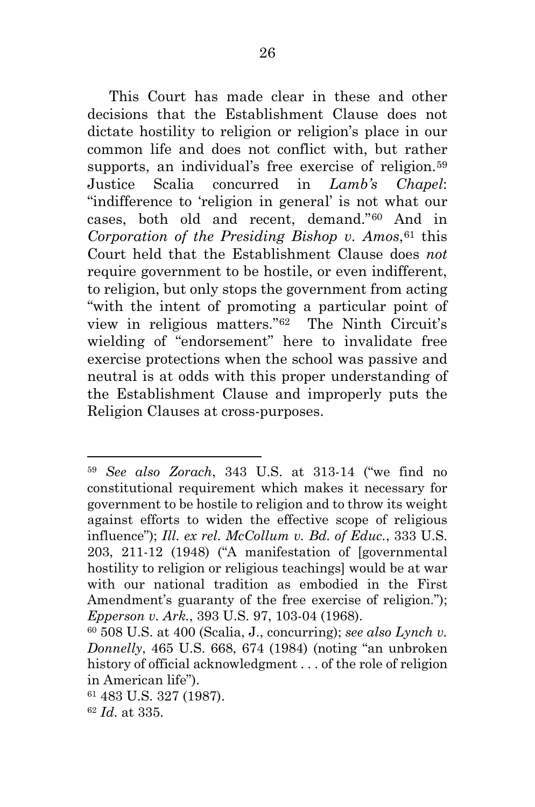<span id="page-33-3"></span><span id="page-33-2"></span><span id="page-33-1"></span><span id="page-33-0"></span>This Court has made clear in these and other decisions that the Establishment Clause does not dictate hostility to religion or religion's place in our common life and does not conflict with, but rather supports, an individual's free exercise of religion.<sup>[59](#page-33-0)</sup> Justice Scalia concurred in *Lamb's Chapel*: "indifference to 'religion in general' is not what our cases, both old and recent, demand."[60](#page-33-1) And in *Corporation of the Presiding Bishop v. Amos*,[61](#page-33-2) this Court held that the Establishment Clause does *not* require government to be hostile, or even indifferent, to religion, but only stops the government from acting "with the intent of promoting a particular point of view in religious matters."[62](#page-33-3) The Ninth Circuit's wielding of "endorsement" here to invalidate free exercise protections when the school was passive and neutral is at odds with this proper understanding of the Establishment Clause and improperly puts the Religion Clauses at cross-purposes.

<sup>59</sup> *See also Zorach*, 343 U.S. at 313-14 ("we find no constitutional requirement which makes it necessary for government to be hostile to religion and to throw its weight against efforts to widen the effective scope of religious influence"); *Ill. ex rel. McCollum v. Bd. of Educ.*, 333 U.S. 203, 211-12 (1948) ("A manifestation of [governmental hostility to religion or religious teachings] would be at war with our national tradition as embodied in the First Amendment's guaranty of the free exercise of religion."); *Epperson v. Ark.*, 393 U.S. 97, 103-04 (1968).

<sup>60</sup> 508 U.S. at 400 (Scalia, J., concurring); *see also Lynch v. Donnelly*, 465 U.S. 668, 674 (1984) (noting "an unbroken history of official acknowledgment . . . of the role of religion in American life").

<sup>61</sup> 483 U.S. 327 (1987).

<sup>62</sup> *Id*. at 335.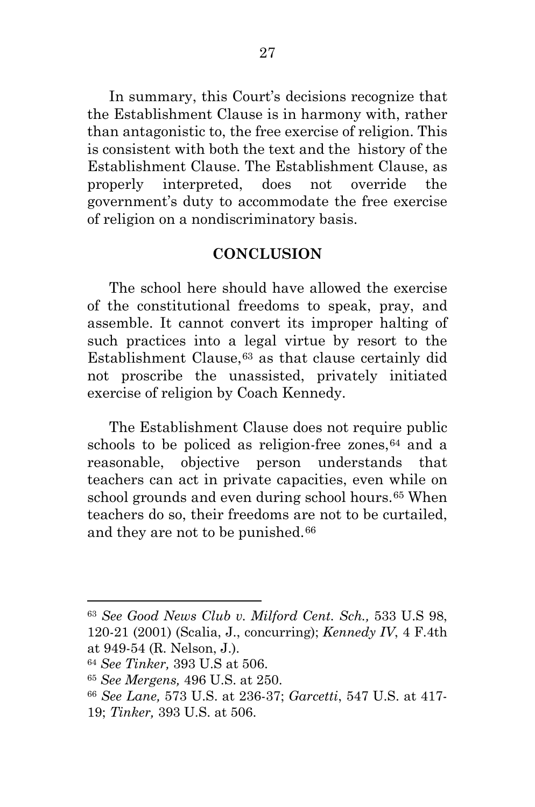<span id="page-34-3"></span><span id="page-34-2"></span><span id="page-34-1"></span><span id="page-34-0"></span>In summary, this Court's decisions recognize that the Establishment Clause is in harmony with, rather than antagonistic to, the free exercise of religion. This is consistent with both the text and the history of the Establishment Clause. The Establishment Clause, as properly interpreted, does not override the government's duty to accommodate the free exercise of religion on a nondiscriminatory basis.

#### **CONCLUSION**

The school here should have allowed the exercise of the constitutional freedoms to speak, pray, and assemble. It cannot convert its improper halting of such practices into a legal virtue by resort to the Establishment Clause,[63](#page-34-0) as that clause certainly did not proscribe the unassisted, privately initiated exercise of religion by Coach Kennedy.

The Establishment Clause does not require public schools to be policed as religion-free zones,  $64$  and a reasonable, objective person understands that teachers can act in private capacities, even while on school grounds and even during school hours.<sup>[65](#page-34-2)</sup> When teachers do so, their freedoms are not to be curtailed, and they are not to be punished.[66](#page-34-3)

<sup>63</sup> *See Good News Club v. Milford Cent. Sch.,* 533 U.S 98, 120-21 (2001) (Scalia, J., concurring); *Kennedy IV*, 4 F.4th at 949-54 (R. Nelson, J.).

<sup>64</sup> *See Tinker,* 393 U.S at 506.

<sup>65</sup> *See Mergens,* 496 U.S. at 250.

<sup>66</sup> *See Lane,* 573 U.S. at 236-37; *Garcetti*, 547 U.S. at 417- 19; *Tinker,* 393 U.S. at 506.